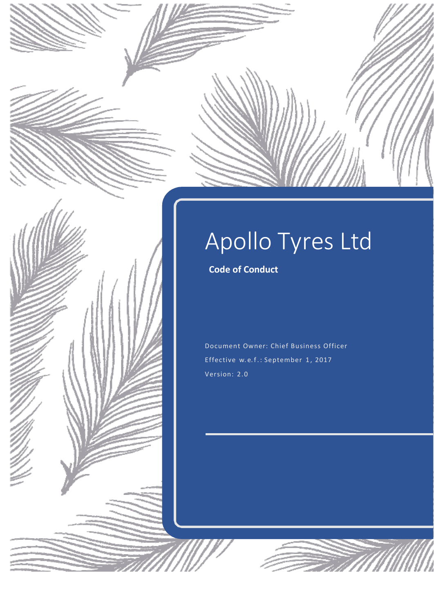# Apollo Tyres Ltd **Code of Conduct**

Document Owner: Chief Business Officer Effective w.e.f.: September 1, 2017 Version: 2.0

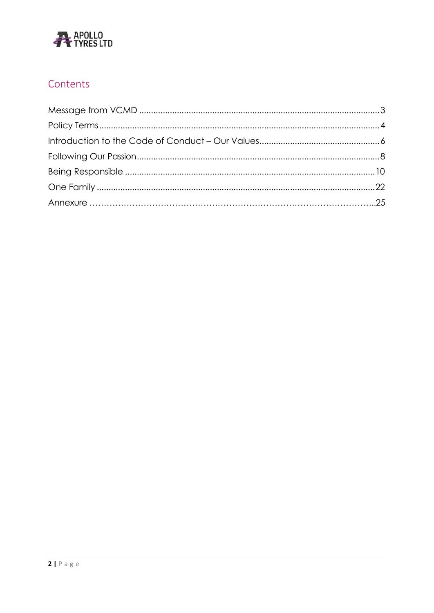

# Contents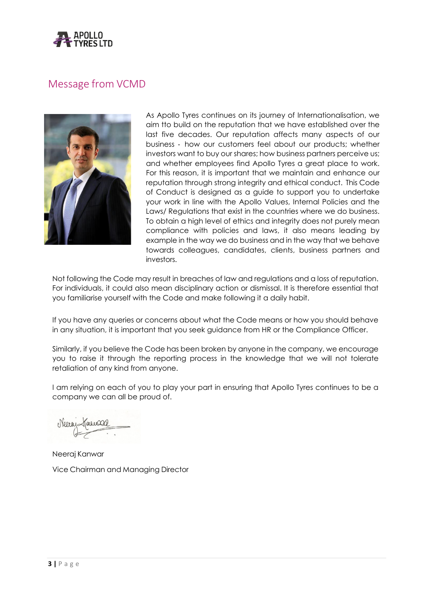

# <span id="page-2-0"></span>Message from VCMD



As Apollo Tyres continues on its journey of Internationalisation, we aim tto build on the reputation that we have established over the last five decades. Our reputation affects many aspects of our business ‐ how our customers feel about our products; whether investors want to buy our shares; how business partners perceive us; and whether employees find Apollo Tyres a great place to work. For this reason, it is important that we maintain and enhance our reputation through strong integrity and ethical conduct. This Code of Conduct is designed as a guide to support you to undertake your work in line with the Apollo Values, Internal Policies and the Laws/ Regulations that exist in the countries where we do business. To obtain a high level of ethics and integrity does not purely mean compliance with policies and laws, it also means leading by example in the way we do business and in the way that we behave towards colleagues, candidates, clients, business partners and investors.

Not following the Code may result in breaches of law and regulations and a loss of reputation. For individuals, it could also mean disciplinary action or dismissal. It is therefore essential that you familiarise yourself with the Code and make following it a daily habit.

If you have any queries or concerns about what the Code means or how you should behave in any situation, it is important that you seek guidance from HR or the Compliance Officer.

Similarly, if you believe the Code has been broken by anyone in the company, we encourage you to raise it through the reporting process in the knowledge that we will not tolerate retaliation of any kind from anyone.

I am relying on each of you to play your part in ensuring that Apollo Tyres continues to be a company we can all be proud of.

Neeraj Kanwar Vice Chairman and Managing Director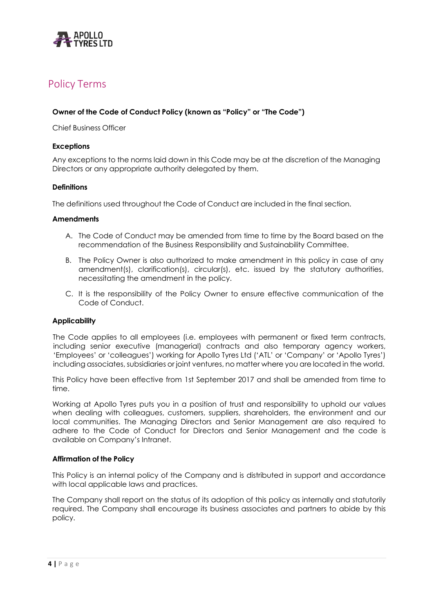

# <span id="page-3-0"></span>Policy Terms

# **Owner of the Code of Conduct Policy (known as "Policy" or "The Code")**

Chief Business Officer

## **Exceptions**

Any exceptions to the norms laid down in this Code may be at the discretion of the Managing Directors or any appropriate authority delegated by them.

### **Definitions**

The definitions used throughout the Code of Conduct are included in the final section.

#### **Amendments**

- A. The Code of Conduct may be amended from time to time by the Board based on the recommendation of the Business Responsibility and Sustainability Committee.
- B. The Policy Owner is also authorized to make amendment in this policy in case of any amendment(s), clarification(s), circular(s), etc. issued by the statutory authorities, necessitating the amendment in the policy.
- C. It is the responsibility of the Policy Owner to ensure effective communication of the Code of Conduct.

#### **Applicability**

The Code applies to all employees (i.e. employees with permanent or fixed term contracts, including senior executive (managerial) contracts and also temporary agency workers, 'Employees' or 'colleagues') working for Apollo Tyres Ltd ('ATL' or 'Company' or 'Apollo Tyres') including associates, subsidiaries or joint ventures, no matter where you are located in the world.

This Policy have been effective from 1st September 2017 and shall be amended from time to time.

Working at Apollo Tyres puts you in a position of trust and responsibility to uphold our values when dealing with colleagues, customers, suppliers, shareholders, the environment and our local communities. The Managing Directors and Senior Management are also required to adhere to the Code of Conduct for Directors and Senior Management and the code is available on Company's Intranet.

#### **Affirmation of the Policy**

This Policy is an internal policy of the Company and is distributed in support and accordance with local applicable laws and practices.

The Company shall report on the status of its adoption of this policy as internally and statutorily required. The Company shall encourage its business associates and partners to abide by this policy.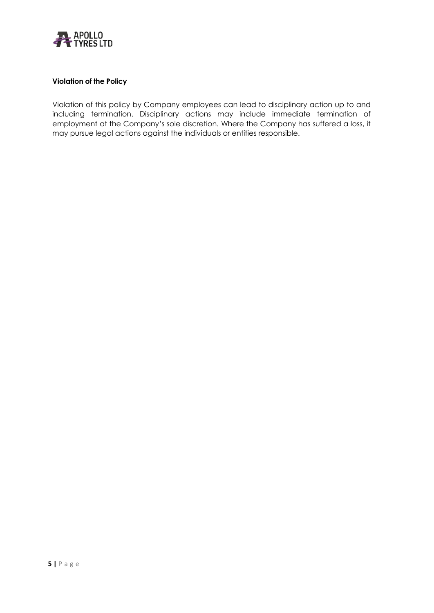

# **Violation of the Policy**

Violation of this policy by Company employees can lead to disciplinary action up to and including termination. Disciplinary actions may include immediate termination of employment at the Company's sole discretion. Where the Company has suffered a loss, it may pursue legal actions against the individuals or entities responsible.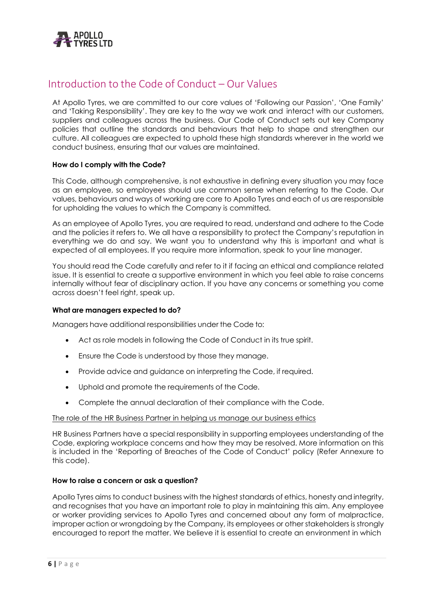

# <span id="page-5-0"></span>Introduction to the Code of Conduct – Our Values

At Apollo Tyres, we are committed to our core values of 'Following our Passion', 'One Family' and 'Taking Responsibility'. They are key to the way we work and interact with our customers, suppliers and colleagues across the business. Our Code of Conduct sets out key Company policies that outline the standards and behaviours that help to shape and strengthen our culture. All colleagues are expected to uphold these high standards wherever in the world we conduct business, ensuring that our values are maintained.

# **How do I comply with the Code?**

This Code, although comprehensive, is not exhaustive in defining every situation you may face as an employee, so employees should use common sense when referring to the Code. Our values, behaviours and ways of working are core to Apollo Tyres and each of us are responsible for upholding the values to which the Company is committed.

As an employee of Apollo Tyres, you are required to read, understand and adhere to the Code and the policies it refers to. We all have a responsibility to protect the Company's reputation in everything we do and say. We want you to understand why this is important and what is expected of all employees. If you require more information, speak to your line manager.

You should read the Code carefully and refer to it if facing an ethical and compliance related issue. It is essential to create a supportive environment in which you feel able to raise concerns internally without fear of disciplinary action. If you have any concerns or something you come across doesn't feel right, speak up.

# **What are managers expected to do?**

Managers have additional responsibilities under the Code to:

- Act as role models in following the Code of Conduct in its true spirit.
- Ensure the Code is understood by those they manage.
- Provide advice and guidance on interpreting the Code, if required.
- Uphold and promote the requirements of the Code.
- Complete the annual declaration of their compliance with the Code.

# The role of the HR Business Partner in helping us manage our business ethics

HR Business Partners have a special responsibility in supporting employees understanding of the Code, exploring workplace concerns and how they may be resolved. More information on this is included in the 'Reporting of Breaches of the Code of Conduct' policy (Refer Annexure to this code).

# **How to raise a concern or ask a question?**

Apollo Tyres aims to conduct business with the highest standards of ethics, honesty and integrity, and recognises that you have an important role to play in maintaining this aim. Any employee or worker providing services to Apollo Tyres and concerned about any form of malpractice, improper action or wrongdoing by the Company, its employees or other stakeholders is strongly encouraged to report the matter. We believe it is essential to create an environment in which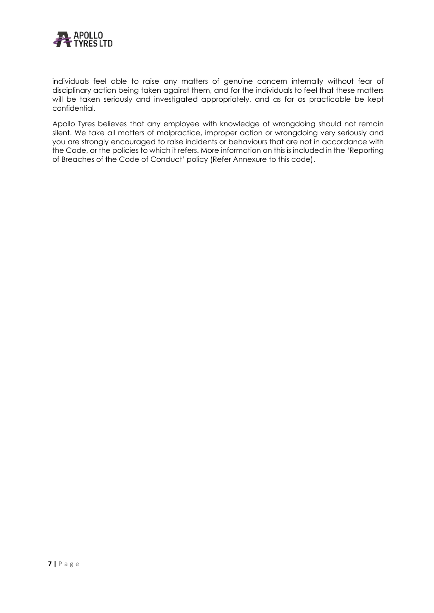

individuals feel able to raise any matters of genuine concern internally without fear of disciplinary action being taken against them, and for the individuals to feel that these matters will be taken seriously and investigated appropriately, and as far as practicable be kept confidential.

Apollo Tyres believes that any employee with knowledge of wrongdoing should not remain silent. We take all matters of malpractice, improper action or wrongdoing very seriously and you are strongly encouraged to raise incidents or behaviours that are not in accordance with the Code, or the policies to which it refers. More information on this is included in the 'Reporting of Breaches of the Code of Conduct' policy (Refer Annexure to this code).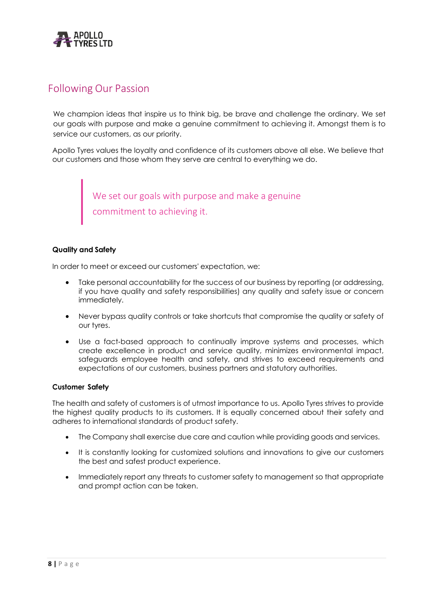

# <span id="page-7-0"></span>Following Our Passion

We champion ideas that inspire us to think big, be brave and challenge the ordinary. We set our goals with purpose and make a genuine commitment to achieving it. Amongst them is to service our customers, as our priority.

Apollo Tyres values the loyalty and confidence of its customers above all else. We believe that our customers and those whom they serve are central to everything we do.

> We set our goals with purpose and make a genuine commitment to achieving it.

# **Quality and Safety**

In order to meet or exceed our customers' expectation, we:

- Take personal accountability for the success of our business by reporting (or addressing, if you have quality and safety responsibilities) any quality and safety issue or concern immediately.
- Never bypass quality controls or take shortcuts that compromise the quality or safety of our tyres.
- Use a fact-based approach to continually improve systems and processes, which create excellence in product and service quality, minimizes environmental impact, safeguards employee health and safety, and strives to exceed requirements and expectations of our customers, business partners and statutory authorities.

# **Customer Safety**

The health and safety of customers is of utmost importance to us. Apollo Tyres strives to provide the highest quality products to its customers. It is equally concerned about their safety and adheres to international standards of product safety.

- The Company shall exercise due care and caution while providing goods and services.
- It is constantly looking for customized solutions and innovations to give our customers the best and safest product experience.
- Immediately report any threats to customer safety to management so that appropriate and prompt action can be taken.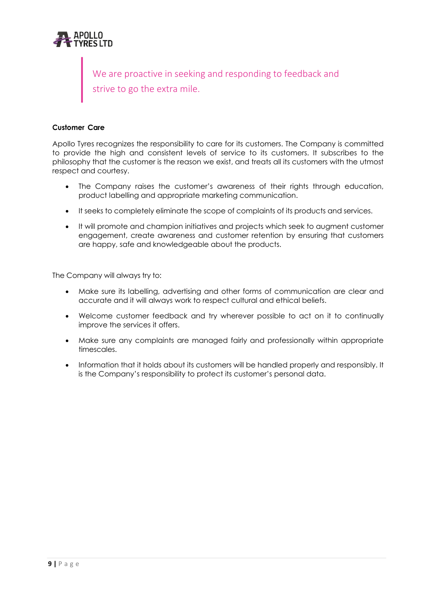

We are proactive in seeking and responding to feedback and strive to go the extra mile.

# **Customer Care**

Apollo Tyres recognizes the responsibility to care for its customers. The Company is committed to provide the high and consistent levels of service to its customers. It subscribes to the philosophy that the customer is the reason we exist, and treats all its customers with the utmost respect and courtesy.

- The Company raises the customer's awareness of their rights through education, product labelling and appropriate marketing communication.
- It seeks to completely eliminate the scope of complaints of its products and services.
- It will promote and champion initiatives and projects which seek to augment customer engagement, create awareness and customer retention by ensuring that customers are happy, safe and knowledgeable about the products.

The Company will always try to:

- Make sure its labelling, advertising and other forms of communication are clear and accurate and it will always work to respect cultural and ethical beliefs.
- Welcome customer feedback and try wherever possible to act on it to continually improve the services it offers.
- Make sure any complaints are managed fairly and professionally within appropriate timescales.
- Information that it holds about its customers will be handled properly and responsibly. It is the Company's responsibility to protect its customer's personal data.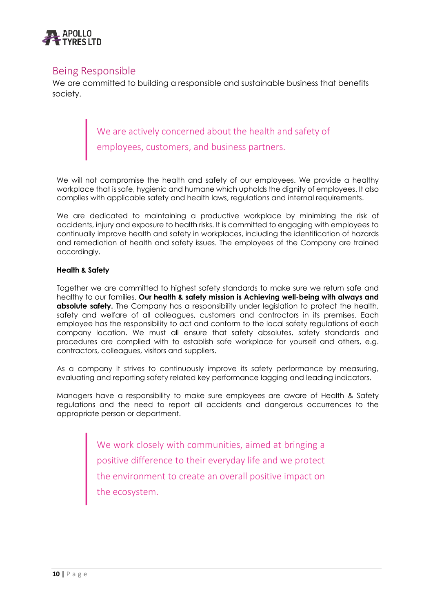

# <span id="page-9-0"></span>Being Responsible

We are committed to building a responsible and sustainable business that benefits society.

> We are actively concerned about the health and safety of employees, customers, and business partners.

We will not compromise the health and safety of our employees. We provide a healthy workplace that is safe, hygienic and humane which upholds the dignity of employees. It also complies with applicable safety and health laws, regulations and internal requirements.

We are dedicated to maintaining a productive workplace by minimizing the risk of accidents, injury and exposure to health risks. It is committed to engaging with employees to continually improve health and safety in workplaces, including the identification of hazards and remediation of health and safety issues. The employees of the Company are trained accordingly.

# **Health & Safety**

Together we are committed to highest safety standards to make sure we return safe and healthy to our families. **Our health & safety mission is Achieving well-being with always and absolute safety.** The Company has a responsibility under legislation to protect the health, safety and welfare of all colleagues, customers and contractors in its premises. Each employee has the responsibility to act and conform to the local safety regulations of each company location. We must all ensure that safety absolutes, safety standards and procedures are complied with to establish safe workplace for yourself and others, e.g. contractors, colleagues, visitors and suppliers.

As a company it strives to continuously improve its safety performance by measuring, evaluating and reporting safety related key performance lagging and leading indicators.

Managers have a responsibility to make sure employees are aware of Health & Safety regulations and the need to report all accidents and dangerous occurrences to the appropriate person or department.

> We work closely with communities, aimed at bringing a positive difference to their everyday life and we protect the environment to create an overall positive impact on the ecosystem.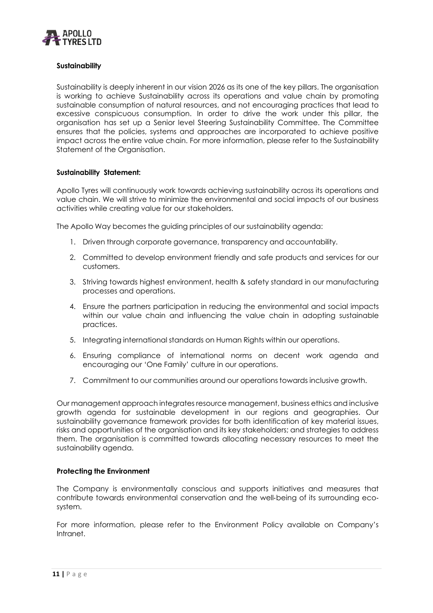

# **Sustainability**

Sustainability is deeply inherent in our vision 2026 as its one of the key pillars. The organisation is working to achieve Sustainability across its operations and value chain by promoting sustainable consumption of natural resources, and not encouraging practices that lead to excessive conspicuous consumption. In order to drive the work under this pillar, the organisation has set up a Senior level Steering Sustainability Committee. The Committee ensures that the policies, systems and approaches are incorporated to achieve positive impact across the entire value chain. For more information, please refer to the Sustainability Statement of the Organisation.

#### **Sustainability Statement:**

Apollo Tyres will continuously work towards achieving sustainability across its operations and value chain. We will strive to minimize the environmental and social impacts of our business activities while creating value for our stakeholders.

The Apollo Way becomes the guiding principles of our sustainability agenda:

- 1. Driven through corporate governance, transparency and accountability.
- 2. Committed to develop environment friendly and safe products and services for our customers.
- 3. Striving towards highest environment, health & safety standard in our manufacturing processes and operations.
- 4. Ensure the partners participation in reducing the environmental and social impacts within our value chain and influencing the value chain in adopting sustainable practices.
- 5. Integrating international standards on Human Rights within our operations.
- 6. Ensuring compliance of international norms on decent work agenda and encouraging our 'One Family' culture in our operations.
- 7. Commitment to our communities around our operations towards inclusive growth.

Our management approach integrates resource management, business ethics and inclusive growth agenda for sustainable development in our regions and geographies. Our sustainability governance framework provides for both identification of key material issues, risks and opportunities of the organisation and its key stakeholders; and strategies to address them. The organisation is committed towards allocating necessary resources to meet the sustainability agenda.

# **Protecting the Environment**

The Company is environmentally conscious and supports initiatives and measures that contribute towards environmental conservation and the well-being of its surrounding ecosystem.

For more information, please refer to the Environment Policy available on Company's Intranet.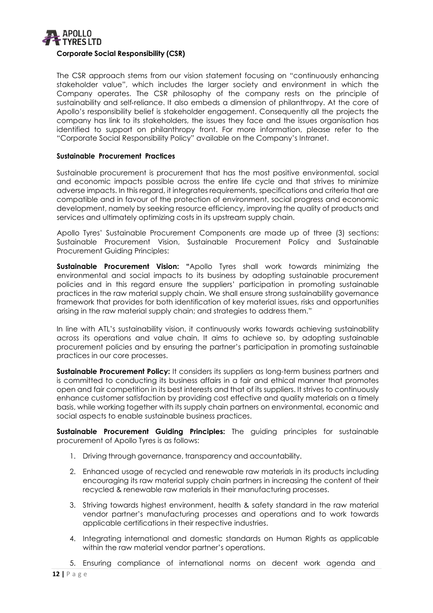

The CSR approach stems from our vision statement focusing on "continuously enhancing stakeholder value", which includes the larger society and environment in which the Company operates. The CSR philosophy of the company rests on the principle of sustainability and self-reliance. It also embeds a dimension of philanthropy. At the core of Apollo's responsibility belief is stakeholder engagement. Consequently all the projects the company has link to its stakeholders, the issues they face and the issues organisation has identified to support on philanthropy front. For more information, please refer to the "Corporate Social Responsibility Policy" available on the Company's Intranet.

# **Sustainable Procurement Practices**

Sustainable procurement is procurement that has the most positive environmental, social and economic impacts possible across the entire life cycle and that strives to minimize adverse impacts. In this regard, it integrates requirements, specifications and criteria that are compatible and in favour of the protection of environment, social progress and economic development, namely by seeking resource efficiency, improving the quality of products and services and ultimately optimizing costs in its upstream supply chain.

Apollo Tyres' Sustainable Procurement Components are made up of three (3) sections: Sustainable Procurement Vision, Sustainable Procurement Policy and Sustainable Procurement Guiding Principles:

**Sustainable Procurement Vision: "**Apollo Tyres shall work towards minimizing the environmental and social impacts to its business by adopting sustainable procurement policies and in this regard ensure the suppliers' participation in promoting sustainable practices in the raw material supply chain. We shall ensure strong sustainability governance framework that provides for both identification of key material issues, risks and opportunities arising in the raw material supply chain; and strategies to address them."

In line with ATL's sustainability vision, it continuously works towards achieving sustainability across its operations and value chain. It aims to achieve so, by adopting sustainable procurement policies and by ensuring the partner's participation in promoting sustainable practices in our core processes.

**Sustainable Procurement Policy:** It considers its suppliers as long-term business partners and is committed to conducting its business affairs in a fair and ethical manner that promotes open and fair competition in its best interests and that of its suppliers. It strives to continuously enhance customer satisfaction by providing cost effective and quality materials on a timely basis, while working together with its supply chain partners on environmental, economic and social aspects to enable sustainable business practices.

**Sustainable Procurement Guiding Principles:** The guiding principles for sustainable procurement of Apollo Tyres is as follows:

- 1. Driving through governance, transparency and accountability.
- 2. Enhanced usage of recycled and renewable raw materials in its products including encouraging its raw material supply chain partners in increasing the content of their recycled & renewable raw materials in their manufacturing processes.
- 3. Striving towards highest environment, health & safety standard in the raw material vendor partner's manufacturing processes and operations and to work towards applicable certifications in their respective industries.
- 4. Integrating international and domestic standards on Human Rights as applicable within the raw material vendor partner's operations.

5. Ensuring compliance of international norms on decent work agenda and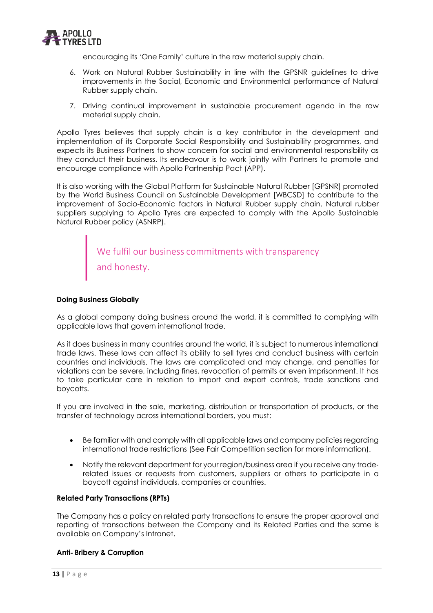

encouraging its 'One Family' culture in the raw material supply chain.

- 6. Work on Natural Rubber Sustainability in line with the GPSNR guidelines to drive improvements in the Social, Economic and Environmental performance of Natural Rubber supply chain.
- 7. Driving continual improvement in sustainable procurement agenda in the raw material supply chain.

Apollo Tyres believes that supply chain is a key contributor in the development and implementation of its Corporate Social Responsibility and Sustainability programmes, and expects its Business Partners to show concern for social and environmental responsibility as they conduct their business. Its endeavour is to work jointly with Partners to promote and encourage compliance with Apollo Partnership Pact (APP).

It is also working with the Global Platform for Sustainable Natural Rubber [GPSNR] promoted by the World Business Council on Sustainable Development [WBCSD] to contribute to the improvement of Socio-Economic factors in Natural Rubber supply chain. Natural rubber suppliers supplying to Apollo Tyres are expected to comply with the Apollo Sustainable Natural Rubber policy (ASNRP).

> We fulfil our business commitments with transparency and honesty.

# **Doing Business Globally**

As a global company doing business around the world, it is committed to complying with applicable laws that govern international trade.

As it does business in many countries around the world, it is subject to numerous international trade laws. These laws can affect its ability to sell tyres and conduct business with certain countries and individuals. The laws are complicated and may change, and penalties for violations can be severe, including fines, revocation of permits or even imprisonment. It has to take particular care in relation to import and export controls, trade sanctions and boycotts.

If you are involved in the sale, marketing, distribution or transportation of products, or the transfer of technology across international borders, you must:

- Be familiar with and comply with all applicable laws and company policies regarding international trade restrictions (See Fair Competition section for more information).
- Notify the relevant department for your region/business area if you receive any trade‐ related issues or requests from customers, suppliers or others to participate in a boycott against individuals, companies or countries.

# **Related Party Transactions (RPTs)**

The Company has a policy on related party transactions to ensure the proper approval and reporting of transactions between the Company and its Related Parties and the same is available on Company's Intranet.

#### **Anti**‐ **Bribery & Corruption**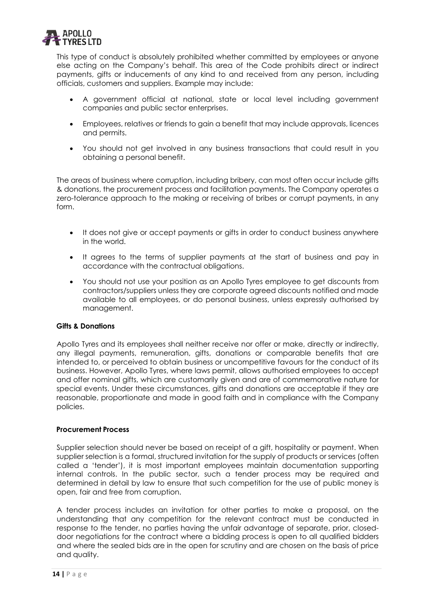

This type of conduct is absolutely prohibited whether committed by employees or anyone else acting on the Company's behalf. This area of the Code prohibits direct or indirect payments, gifts or inducements of any kind to and received from any person, including officials, customers and suppliers. Example may include:

- A government official at national, state or local level including government companies and public sector enterprises.
- Employees, relatives or friends to gain a benefit that may include approvals, licences and permits.
- You should not get involved in any business transactions that could result in you obtaining a personal benefit.

The areas of business where corruption, including bribery, can most often occur include gifts & donations, the procurement process and facilitation payments. The Company operates a zero-tolerance approach to the making or receiving of bribes or corrupt payments, in any form.

- It does not give or accept payments or gifts in order to conduct business anywhere in the world.
- It agrees to the terms of supplier payments at the start of business and pay in accordance with the contractual obligations.
- You should not use your position as an Apollo Tyres employee to get discounts from contractors/suppliers unless they are corporate agreed discounts notified and made available to all employees, or do personal business, unless expressly authorised by management.

# **Gifts & Donations**

Apollo Tyres and its employees shall neither receive nor offer or make, directly or indirectly, any illegal payments, remuneration, gifts, donations or comparable benefits that are intended to, or perceived to obtain business or uncompetitive favours for the conduct of its business. However, Apollo Tyres, where laws permit, allows authorised employees to accept and offer nominal gifts, which are customarily given and are of commemorative nature for special events. Under these circumstances, gifts and donations are acceptable if they are reasonable, proportionate and made in good faith and in compliance with the Company policies.

# **Procurement Process**

Supplier selection should never be based on receipt of a gift, hospitality or payment. When supplier selection is a formal, structured invitation for the supply of products or services (often called a 'tender'), it is most important employees maintain documentation supporting internal controls. In the public sector, such a tender process may be required and determined in detail by law to ensure that such competition for the use of public money is open, fair and free from corruption.

A tender process includes an invitation for other parties to make a proposal, on the understanding that any competition for the relevant contract must be conducted in response to the tender, no parties having the unfair advantage of separate, prior, closeddoor negotiations for the contract where a bidding process is open to all qualified bidders and where the sealed bids are in the open for scrutiny and are chosen on the basis of price and quality.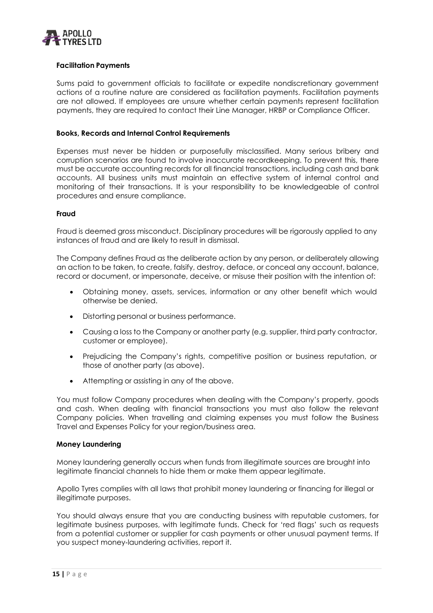

# **Facilitation Payments**

Sums paid to government officials to facilitate or expedite nondiscretionary government actions of a routine nature are considered as facilitation payments. Facilitation payments are not allowed. If employees are unsure whether certain payments represent facilitation payments, they are required to contact their Line Manager, HRBP or Compliance Officer.

## **Books, Records and Internal Control Requirements**

Expenses must never be hidden or purposefully misclassified. Many serious bribery and corruption scenarios are found to involve inaccurate recordkeeping. To prevent this, there must be accurate accounting records for all financial transactions, including cash and bank accounts. All business units must maintain an effective system of internal control and monitoring of their transactions. It is your responsibility to be knowledgeable of control procedures and ensure compliance.

#### **Fraud**

Fraud is deemed gross misconduct. Disciplinary procedures will be rigorously applied to any instances of fraud and are likely to result in dismissal.

The Company defines Fraud as the deliberate action by any person, or deliberately allowing an action to be taken, to create, falsify, destroy, deface, or conceal any account, balance, record or document, or impersonate, deceive, or misuse their position with the intention of:

- Obtaining money, assets, services, information or any other benefit which would otherwise be denied.
- Distorting personal or business performance.
- Causing a loss to the Company or another party (e.g. supplier, third party contractor, customer or employee).
- Prejudicing the Company's rights, competitive position or business reputation, or those of another party (as above).
- Attempting or assisting in any of the above.

You must follow Company procedures when dealing with the Company's property, goods and cash. When dealing with financial transactions you must also follow the relevant Company policies. When travelling and claiming expenses you must follow the Business Travel and Expenses Policy for your region/business area.

#### **Money Laundering**

Money laundering generally occurs when funds from illegitimate sources are brought into legitimate financial channels to hide them or make them appear legitimate.

Apollo Tyres complies with all laws that prohibit money laundering or financing for illegal or illegitimate purposes.

You should always ensure that you are conducting business with reputable customers, for legitimate business purposes, with legitimate funds. Check for 'red flags' such as requests from a potential customer or supplier for cash payments or other unusual payment terms. If you suspect money‐laundering activities, report it.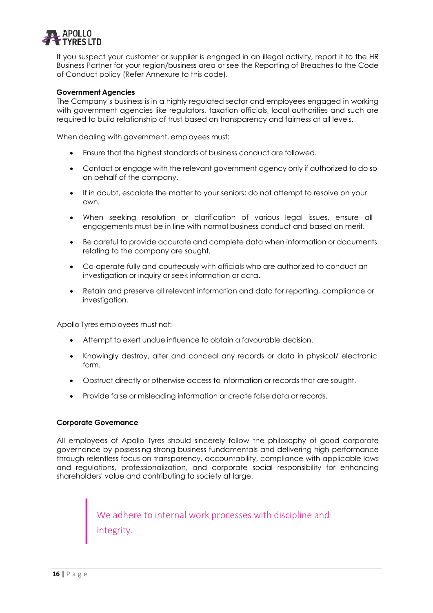

If you suspect your customer or supplier is engaged in an illegal activity, report it to the HR Business Partner for your region/business area or see the Reporting of Breaches to the Code of Conduct policy (Refer Annexure to this code).

## **Government Agencies**

The Company's business is in a highly regulated sector and employees engaged in working with government agencies like regulators, taxation officials, local authorities and such are required to build relationship of trust based on transparency and fairness at all levels.

When dealing with government, employees must:

- Ensure that the highest standards of business conduct are followed.
- Contact or engage with the relevant government agency only if authorized to do so on behalf of the company.
- If in doubt, escalate the matter to your seniors; do not attempt to resolve on your own.
- When seeking resolution or clarification of various legal issues, ensure all engagements must be in line with normal business conduct and based on merit.
- Be careful to provide accurate and complete data when information or documents relating to the company are sought.
- Co-operate fully and courteously with officials who are authorized to conduct an investigation or inquiry or seek information or data.
- Retain and preserve all relevant information and data for reporting, compliance or investigation.

Apollo Tyres employees must not:

- Attempt to exert undue influence to obtain a favourable decision.
- Knowingly destroy, alter and conceal any records or data in physical/ electronic form.
- Obstruct directly or otherwise access to information or records that are sought.
- Provide false or misleading information or create false data or records.

#### **Corporate Governance**

All employees of Apollo Tyres should sincerely follow the philosophy of good corporate governance by possessing strong business fundamentals and delivering high performance through relentless focus on transparency, accountability, compliance with applicable laws and regulations, professionalization, and corporate social responsibility for enhancing shareholders' value and contributing to society at large.

> We adhere to internal work processes with discipline and integrity.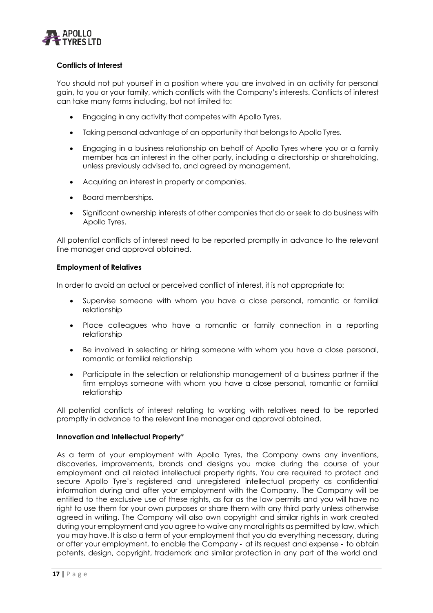

# **Conflicts of Interest**

You should not put yourself in a position where you are involved in an activity for personal gain, to you or your family, which conflicts with the Company's interests. Conflicts of interest can take many forms including, but not limited to:

- Engaging in any activity that competes with Apollo Tyres.
- Taking personal advantage of an opportunity that belongs to Apollo Tyres.
- Engaging in a business relationship on behalf of Apollo Tyres where you or a family member has an interest in the other party, including a directorship or shareholding, unless previously advised to, and agreed by management.
- Acquiring an interest in property or companies.
- Board memberships.
- Significant ownership interests of other companies that do or seek to do business with Apollo Tyres.

All potential conflicts of interest need to be reported promptly in advance to the relevant line manager and approval obtained.

# **Employment of Relatives**

In order to avoid an actual or perceived conflict of interest, it is not appropriate to:

- Supervise someone with whom you have a close personal, romantic or familial relationship
- Place colleagues who have a romantic or family connection in a reporting relationship
- Be involved in selecting or hiring someone with whom you have a close personal, romantic or familial relationship
- Participate in the selection or relationship management of a business partner if the firm employs someone with whom you have a close personal, romantic or familial relationship

All potential conflicts of interest relating to working with relatives need to be reported promptly in advance to the relevant line manager and approval obtained.

# **Innovation and Intellectual Property**\*

As a term of your employment with Apollo Tyres, the Company owns any inventions, discoveries, improvements, brands and designs you make during the course of your employment and all related intellectual property rights. You are required to protect and secure Apollo Tyre's registered and unregistered intellectual property as confidential information during and after your employment with the Company. The Company will be entitled to the exclusive use of these rights, as far as the law permits and you will have no right to use them for your own purposes or share them with any third party unless otherwise agreed in writing. The Company will also own copyright and similar rights in work created during your employment and you agree to waive any moral rights as permitted by law, which you may have. It is also a term of your employment that you do everything necessary, during or after your employment, to enable the Company ‐ at its request and expense ‐ to obtain patents, design, copyright, trademark and similar protection in any part of the world and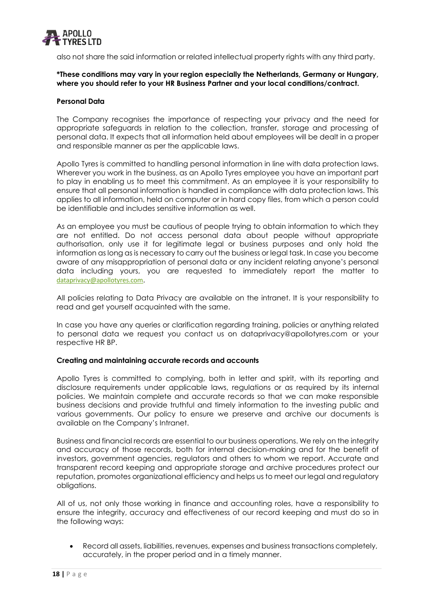

also not share the said information or related intellectual property rights with any third party.

## **\*These conditions may vary in your region especially the Netherlands, Germany or Hungary, where you should refer to your HR Business Partner and your local conditions/contract.**

## **Personal Data**

The Company recognises the importance of respecting your privacy and the need for appropriate safeguards in relation to the collection, transfer, storage and processing of personal data. It expects that all information held about employees will be dealt in a proper and responsible manner as per the applicable laws.

Apollo Tyres is committed to handling personal information in line with data protection laws. Wherever you work in the business, as an Apollo Tyres employee you have an important part to play in enabling us to meet this commitment. As an employee it is your responsibility to ensure that all personal information is handled in compliance with data protection laws. This applies to all information, held on computer or in hard copy files, from which a person could be identifiable and includes sensitive information as well.

As an employee you must be cautious of people trying to obtain information to which they are not entitled. Do not access personal data about people without appropriate authorisation, only use it for legitimate legal or business purposes and only hold the information as long as is necessary to carry out the business or legal task. In case you become aware of any misappropriation of personal data or any incident relating anyone's personal data including yours, you are requested to immediately report the matter to [dataprivacy@apollotyres.com](mailto:dataprivacy@apollotyres.com).

All policies relating to Data Privacy are available on the intranet. It is your responsibility to read and get yourself acquainted with the same.

In case you have any queries or clarification regarding training, policies or anything related to personal data we request you contact us on [dataprivacy@apollotyres.com](mailto:dataprivacy@apollotyres.com) or your respective HR BP.

#### **Creating and maintaining accurate records and accounts**

Apollo Tyres is committed to complying, both in letter and spirit, with its reporting and disclosure requirements under applicable laws, regulations or as required by its internal policies. We maintain complete and accurate records so that we can make responsible business decisions and provide truthful and timely information to the investing public and various governments. Our policy to ensure we preserve and archive our documents is available on the Company's Intranet.

Business and financial records are essential to our business operations. We rely on the integrity and accuracy of those records, both for internal decision‐making and for the benefit of investors, government agencies, regulators and others to whom we report. Accurate and transparent record keeping and appropriate storage and archive procedures protect our reputation, promotes organizational efficiency and helps us to meet our legal and regulatory obligations.

All of us, not only those working in finance and accounting roles, have a responsibility to ensure the integrity, accuracy and effectiveness of our record keeping and must do so in the following ways:

• Record all assets, liabilities, revenues, expenses and business transactions completely, accurately, in the proper period and in a timely manner.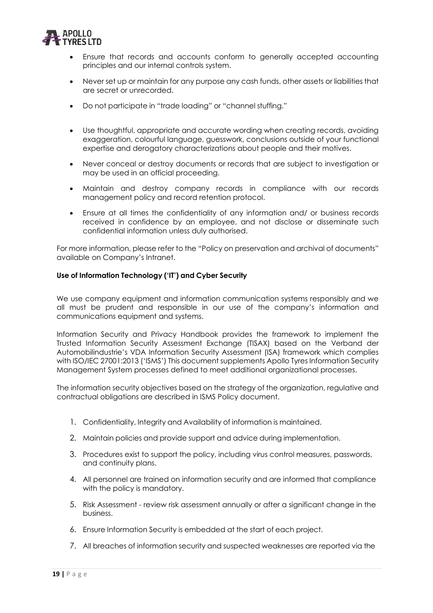

- Ensure that records and accounts conform to generally accepted accounting principles and our internal controls system.
- Never set up or maintain for any purpose any cash funds, other assets or liabilities that are secret or unrecorded.
- Do not participate in "trade loading" or "channel stuffing."
- Use thoughtful, appropriate and accurate wording when creating records, avoiding exaggeration, colourful language, guesswork, conclusions outside of your functional expertise and derogatory characterizations about people and their motives.
- Never conceal or destroy documents or records that are subject to investigation or may be used in an official proceeding.
- Maintain and destroy company records in compliance with our records management policy and record retention protocol.
- Ensure at all times the confidentiality of any information and/ or business records received in confidence by an employee, and not disclose or disseminate such confidential information unless duly authorised.

For more information, please refer to the "Policy on preservation and archival of documents" available on Company's Intranet.

# **Use of Information Technology ('IT') and Cyber Security**

We use company equipment and information communication systems responsibly and we all must be prudent and responsible in our use of the company's information and communications equipment and systems.

Information Security and Privacy Handbook provides the framework to implement the Trusted Information Security Assessment Exchange (TISAX) based on the Verband der Automobilindustrie's VDA Information Security Assessment (ISA) framework which complies with ISO/IEC 27001:2013 ('ISMS') This document supplements Apollo Tyres Information Security Management System processes defined to meet additional organizational processes.

The information security objectives based on the strategy of the organization, regulative and contractual obligations are described in ISMS Policy document.

- 1. Confidentiality, Integrity and Availability of information is maintained.
- 2. Maintain policies and provide support and advice during implementation.
- 3. Procedures exist to support the policy, including virus control measures, passwords, and continuity plans.
- 4. All personnel are trained on information security and are informed that compliance with the policy is mandatory.
- 5. Risk Assessment review risk assessment annually or after a significant change in the business.
- 6. Ensure Information Security is embedded at the start of each project.
- 7. All breaches of information security and suspected weaknesses are reported via the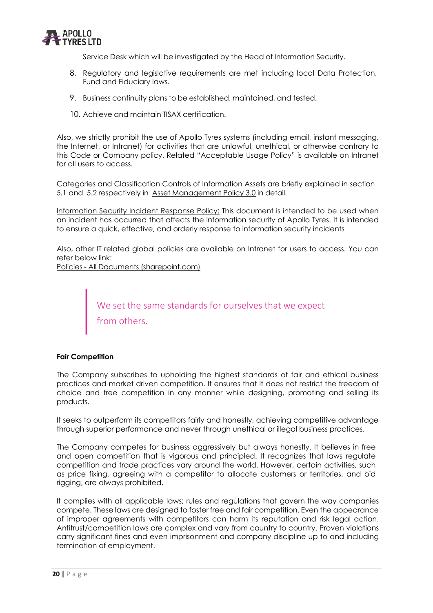

Service Desk which will be investigated by the Head of Information Security.

- 8. Regulatory and legislative requirements are met including local Data Protection, Fund and Fiduciary laws.
- 9. Business continuity plans to be established, maintained, and tested.
- 10. Achieve and maintain TISAX certification.

Also, we strictly prohibit the use of Apollo Tyres systems (including email, instant messaging, the Internet, or Intranet) for activities that are unlawful, unethical, or otherwise contrary to this Code or Company policy. Related "Acceptable Usage Policy" is available on Intranet for all users to access.

Categories and Classification Controls of Information Assets are briefly explained in section 5.1 and 5.2 respectively in [Asset Management Policy](https://apollotyres.sharepoint.com/sites/Intranet/Policies/Asset%20Management%20Policy.pdf) 3.0 in detail.

Information Security Incident Response Policy: This document is intended to be used when an incident has occurred that affects the information security of Apollo Tyres. It is intended to ensure a quick, effective, and orderly response to information security incidents

Also, other IT related global policies are available on Intranet for users to access. You can refer below link:

Policies - All Documents (sharepoint.com)

We set the same standards for ourselves that we expect from others.

# **Fair Competition**

The Company subscribes to upholding the highest standards of fair and ethical business practices and market driven competition. It ensures that it does not restrict the freedom of choice and free competition in any manner while designing, promoting and selling its products.

It seeks to outperform its competitors fairly and honestly, achieving competitive advantage through superior performance and never through unethical or illegal business practices.

The Company competes for business aggressively but always honestly. It believes in free and open competition that is vigorous and principled. It recognizes that laws regulate competition and trade practices vary around the world. However, certain activities, such as price fixing, agreeing with a competitor to allocate customers or territories, and bid rigging, are always prohibited.

It complies with all applicable laws; rules and regulations that govern the way companies compete. These laws are designed to foster free and fair competition. Even the appearance of improper agreements with competitors can harm its reputation and risk legal action. Antitrust/competition laws are complex and vary from country to country. Proven violations carry significant fines and even imprisonment and company discipline up to and including termination of employment.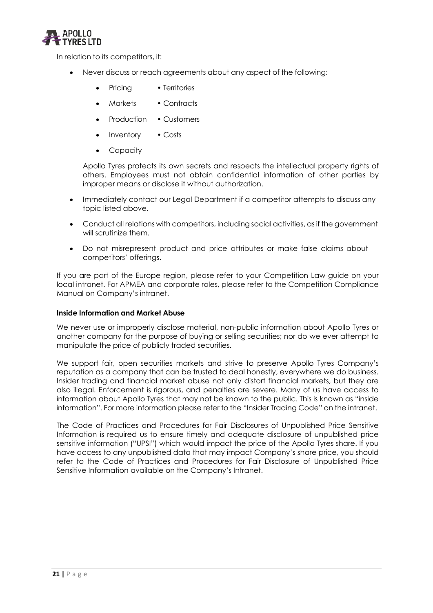

In relation to its competitors, it:

- Never discuss or reach agreements about any aspect of the following:
	- Pricing Territories
	- Markets Contracts
	- Production Customers
	- Inventory Costs
	- **Capacity**

Apollo Tyres protects its own secrets and respects the intellectual property rights of others. Employees must not obtain confidential information of other parties by improper means or disclose it without authorization.

- Immediately contact our Legal Department if a competitor attempts to discuss any topic listed above.
- Conduct all relations with competitors, including social activities, as if the government will scrutinize them.
- Do not misrepresent product and price attributes or make false claims about competitors' offerings.

If you are part of the Europe region, please refer to your Competition Law guide on your local intranet. For APMEA and corporate roles, please refer to the Competition Compliance Manual on Company's intranet.

# **Inside Information and Market Abuse**

We never use or improperly disclose material, non-public information about Apollo Tyres or another company for the purpose of buying or selling securities; nor do we ever attempt to manipulate the price of publicly traded securities.

We support fair, open securities markets and strive to preserve Apollo Tyres Company's reputation as a company that can be trusted to deal honestly, everywhere we do business. Insider trading and financial market abuse not only distort financial markets, but they are also illegal. Enforcement is rigorous, and penalties are severe. Many of us have access to information about Apollo Tyres that may not be known to the public. This is known as "inside information". For more information please refer to the "Insider Trading Code" on the intranet.

The Code of Practices and Procedures for Fair Disclosures of Unpublished Price Sensitive Information is required us to ensure timely and adequate disclosure of unpublished price sensitive information ("UPSI") which would impact the price of the Apollo Tyres share. If you have access to any unpublished data that may impact Company's share price, you should refer to the Code of Practices and Procedures for Fair Disclosure of Unpublished Price Sensitive Information available on the Company's Intranet.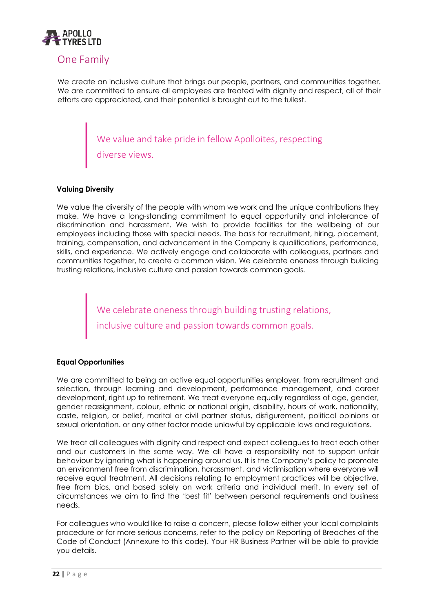

# <span id="page-21-0"></span>One Family

We create an inclusive culture that brings our people, partners, and communities together. We are committed to ensure all employees are treated with dignity and respect, all of their efforts are appreciated, and their potential is brought out to the fullest.

> We value and take pride in fellow Apolloites, respecting diverse views.

# **Valuing Diversity**

We value the diversity of the people with whom we work and the unique contributions they make. We have a long‐standing commitment to equal opportunity and intolerance of discrimination and harassment. We wish to provide facilities for the wellbeing of our employees including those with special needs. The basis for recruitment, hiring, placement, training, compensation, and advancement in the Company is qualifications, performance, skills, and experience. We actively engage and collaborate with colleagues, partners and communities together, to create a common vision. We celebrate oneness through building trusting relations, inclusive culture and passion towards common goals.

> We celebrate oneness through building trusting relations, inclusive culture and passion towards common goals.

# **Equal Opportunities**

We are committed to being an active equal opportunities employer, from recruitment and selection, through learning and development, performance management, and career development, right up to retirement. We treat everyone equally regardless of age, gender, gender reassignment, colour, ethnic or national origin, disability, hours of work, nationality, caste, religion, or belief, marital or civil partner status, disfigurement, political opinions or sexual orientation. or any other factor made unlawful by applicable laws and regulations.

We treat all colleagues with dignity and respect and expect colleagues to treat each other and our customers in the same way. We all have a responsibility not to support unfair behaviour by ignoring what is happening around us. It is the Company's policy to promote an environment free from discrimination, harassment, and victimisation where everyone will receive equal treatment. All decisions relating to employment practices will be objective, free from bias, and based solely on work criteria and individual merit. In every set of circumstances we aim to find the 'best fit' between personal requirements and business needs.

For colleagues who would like to raise a concern, please follow either your local complaints procedure or for more serious concerns, refer to the policy on Reporting of Breaches of the Code of Conduct (Annexure to this code). Your HR Business Partner will be able to provide you details.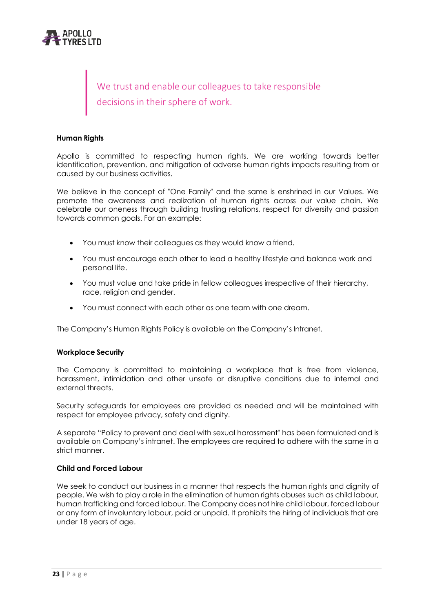

We trust and enable our colleagues to take responsible decisions in their sphere of work.

#### **Human Rights**

Apollo is committed to respecting human rights. We are working towards better identification, prevention, and mitigation of adverse human rights impacts resulting from or caused by our business activities.

We believe in the concept of "One Family" and the same is enshrined in our Values. We promote the awareness and realization of human rights across our value chain. We celebrate our oneness through building trusting relations, respect for diversity and passion towards common goals. For an example:

- You must know their colleagues as they would know a friend.
- You must encourage each other to lead a healthy lifestyle and balance work and personal life.
- You must value and take pride in fellow colleagues irrespective of their hierarchy, race, religion and gender.
- You must connect with each other as one team with one dream.

The Company's Human Rights Policy is available on the Company's Intranet.

#### **Workplace Security**

The Company is committed to maintaining a workplace that is free from violence, harassment, intimidation and other unsafe or disruptive conditions due to internal and external threats.

Security safeguards for employees are provided as needed and will be maintained with respect for employee privacy, safety and dignity.

A separate "Policy to prevent and deal with sexual harassment" has been formulated and is available on Company's intranet. The employees are required to adhere with the same in a strict manner.

#### **Child and Forced Labour**

We seek to conduct our business in a manner that respects the human rights and dignity of people. We wish to play a role in the elimination of human rights abuses such as child labour, human trafficking and forced labour. The Company does not hire child labour, forced labour or any form of involuntary labour, paid or unpaid. It prohibits the hiring of individuals that are under 18 years of age.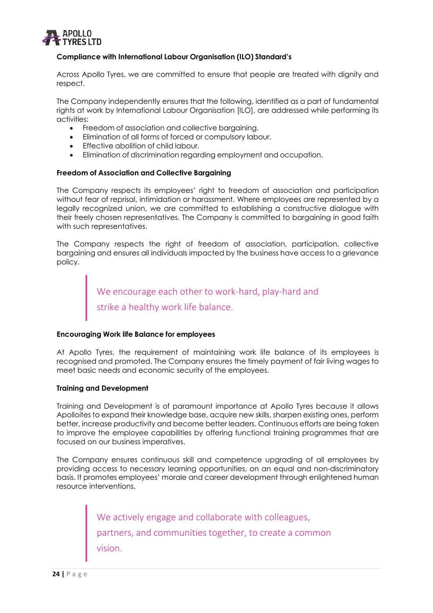

# **Compliance with International Labour Organisation (ILO) Standard's**

Across Apollo Tyres, we are committed to ensure that people are treated with dignity and respect.

The Company independently ensures that the following, identified as a part of fundamental rights at work by International Labour Organisation [ILO], are addressed while performing its activities:

- Freedom of association and collective bargaining.
- Elimination of all forms of forced or compulsory labour.
- Effective abolition of child labour.
- Elimination of discrimination regarding employment and occupation.

# **Freedom of Association and Collective Bargaining**

The Company respects its employees' right to freedom of association and participation without fear of reprisal, intimidation or harassment. Where employees are represented by a legally recognized union, we are committed to establishing a constructive dialogue with their freely chosen representatives. The Company is committed to bargaining in good faith with such representatives.

The Company respects the right of freedom of association, participation, collective bargaining and ensures all individuals impacted by the business have access to a grievance policy.

> We encourage each other to work-hard, play-hard and strike a healthy work life balance.

# **Encouraging Work life Balance for employees**

At Apollo Tyres, the requirement of maintaining work life balance of its employees is recognised and promoted. The Company ensures the timely payment of fair living wages to meet basic needs and economic security of the employees.

# **Training and Development**

Training and Development is of paramount importance at Apollo Tyres because it allows Apolloites to expand their knowledge base, acquire new skills, sharpen existing ones, perform better, increase productivity and become better leaders. Continuous efforts are being taken to improve the employee capabilities by offering functional training programmes that are focused on our business imperatives.

The Company ensures continuous skill and competence upgrading of all employees by providing access to necessary learning opportunities, on an equal and non-discriminatory basis. It promotes employees' morale and career development through enlightened human resource interventions.

> We actively engage and collaborate with colleagues, partners, and communities together, to create a common vision.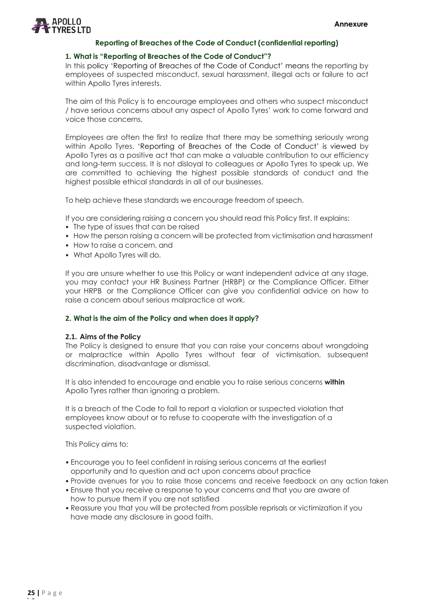

#### **1. What is "Reporting of Breaches of the Code of Conduct"?**

In this policy 'Reporting of Breaches of the Code of Conduct' means the reporting by employees of suspected misconduct, sexual harassment, illegal acts or failure to act within Apollo Tyres interests.

The aim of this Policy is to encourage employees and others who suspect misconduct / have serious concerns about any aspect of Apollo Tyres' work to come forward and voice those concerns.

Employees are often the first to realize that there may be something seriously wrong within Apollo Tyres. 'Reporting of Breaches of the Code of Conduct' is viewed by Apollo Tyres as a positive act that can make a valuable contribution to our efficiency and long-term success. It is not disloyal to colleagues or Apollo Tyres to speak up. We are committed to achieving the highest possible standards of conduct and the highest possible ethical standards in all of our businesses.

To help achieve these standards we encourage freedom of speech.

If you are considering raising a concern you should read this Policy first. It explains:

- The type of issues that can be raised
- How the person raising a concern will be protected from victimisation and harassment
- How to raise a concern, and
- What Apollo Tyres will do.

If you are unsure whether to use this Policy or want independent advice at any stage, you may contact your HR Business Partner (HRBP) or the Compliance Officer. Either your HRPB or the Compliance Officer can give you confidential advice on how to raise a concern about serious malpractice at work.

# **2. What is the aim of the Policy and when does it apply?**

#### **2.1. Aims of the Policy**

The Policy is designed to ensure that you can raise your concerns about wrongdoing or malpractice within Apollo Tyres without fear of victimisation, subsequent discrimination, disadvantage or dismissal.

It is also intended to encourage and enable you to raise serious concerns **within** Apollo Tyres rather than ignoring a problem.

It is a breach of the Code to fail to report a violation or suspected violation that employees know about or to refuse to cooperate with the investigation of a suspected violation.

This Policy aims to:

- Encourage you to feel confident in raising serious concerns at the earliest opportunity and to question and act upon concerns about practice
- Provide avenues for you to raise those concerns and receive feedback on any action taken
- Ensure that you receive a response to your concerns and that you are aware of how to pursue them if you are not satisfied
- Reassure you that you will be protected from possible reprisals or victimization if you have made any disclosure in good faith.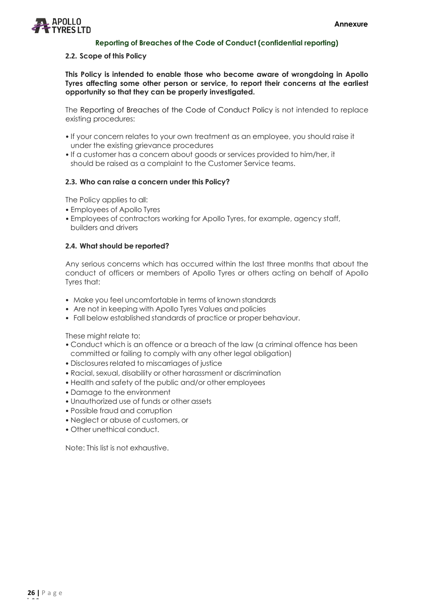

#### **2.2. Scope of this Policy**

**This Policy is intended to enable those who become aware of wrongdoing in Apollo Tyres affecting some other person or service, to report their concerns at the earliest opportunity so that they can be properly investigated.**

The Reporting of Breaches of the Code of Conduct Policy is not intended to replace existing procedures:

- If your concern relates to your own treatment as an employee, you should raise it under the existing grievance procedures
- If a customer has a concern about goods or services provided to him/her, it should be raised as a complaint to the Customer Service teams.

#### **2.3. Who can raise a concern under this Policy?**

The Policy applies to all:

- Employees of Apollo Tyres
- Employees of contractors working for Apollo Tyres, for example, agency staff, builders and drivers

## **2.4. What should be reported?**

Any serious concerns which has occurred within the last three months that about the conduct of officers or members of Apollo Tyres or others acting on behalf of Apollo Tyres that:

- Make you feel uncomfortable in terms of known standards
- Are not in keeping with Apollo Tyres Values and policies
- Fall below established standards of practice or proper behaviour.

These might relate to:

- Conduct which is an offence or a breach of the law (a criminal offence has been committed or failing to comply with any other legal obligation)
- Disclosures related to miscarriages of justice
- Racial, sexual, disability or other harassment or discrimination
- Health and safety of the public and/or other employees
- Damage to the environment
- Unauthorized use of funds or other assets
- Possible fraud and corruption
- Neglect or abuse of customers, or
- Other unethical conduct.

Note: This list is not exhaustive.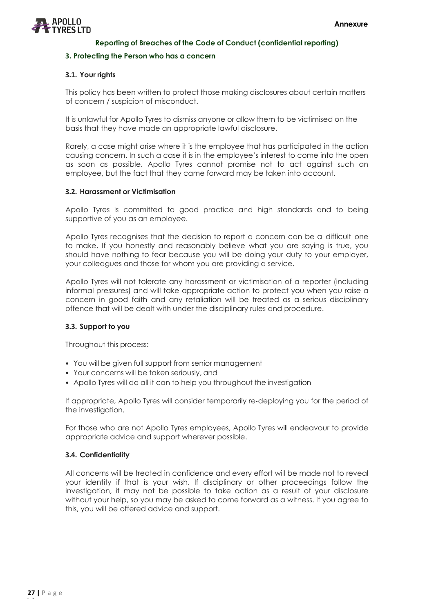

#### **3. Protecting the Person who has a concern**

## **3.1. Your rights**

This policy has been written to protect those making disclosures about certain matters of concern / suspicion of misconduct.

It is unlawful for Apollo Tyres to dismiss anyone or allow them to be victimised on the basis that they have made an appropriate lawful disclosure.

Rarely, a case might arise where it is the employee that has participated in the action causing concern. In such a case it is in the employee's interest to come into the open as soon as possible. Apollo Tyres cannot promise not to act against such an employee, but the fact that they came forward may be taken into account.

#### **3.2. Harassment or Victimisation**

Apollo Tyres is committed to good practice and high standards and to being supportive of you as an employee.

Apollo Tyres recognises that the decision to report a concern can be a difficult one to make. If you honestly and reasonably believe what you are saying is true, you should have nothing to fear because you will be doing your duty to your employer, your colleagues and those for whom you are providing a service.

Apollo Tyres will not tolerate any harassment or victimisation of a reporter (including informal pressures) and will take appropriate action to protect you when you raise a concern in good faith and any retaliation will be treated as a serious disciplinary offence that will be dealt with under the disciplinary rules and procedure.

#### **3.3. Support to you**

Throughout this process:

- You will be given full support from senior management
- Your concerns will be taken seriously, and
- Apollo Tyres will do all it can to help you throughout the investigation

If appropriate, Apollo Tyres will consider temporarily re‐deploying you for the period of the investigation.

For those who are not Apollo Tyres employees, Apollo Tyres will endeavour to provide appropriate advice and support wherever possible.

#### **3.4. Confidentiality**

All concerns will be treated in confidence and every effort will be made not to reveal your identity if that is your wish. If disciplinary or other proceedings follow the investigation, it may not be possible to take action as a result of your disclosure without your help, so you may be asked to come forward as a witness. If you agree to this, you will be offered advice and support.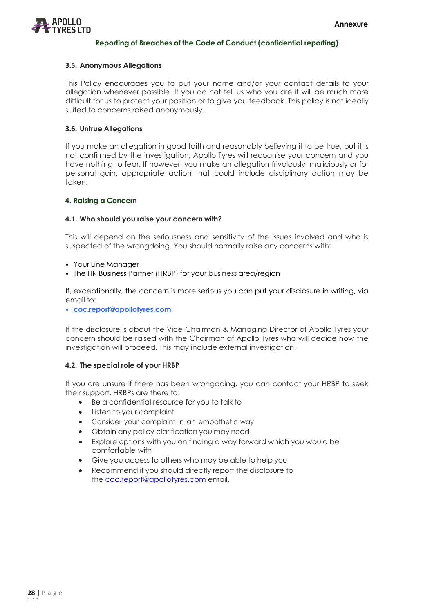

## **3.5. Anonymous Allegations**

This Policy encourages you to put your name and/or your contact details to your allegation whenever possible. If you do not tell us who you are it will be much more difficult for us to protect your position or to give you feedback. This policy is not ideally suited to concerns raised anonymously.

# **3.6. Untrue Allegations**

If you make an allegation in good faith and reasonably believing it to be true, but it is not confirmed by the investigation, Apollo Tyres will recognise your concern and you have nothing to fear. If however, you make an allegation frivolously, maliciously or for personal gain, appropriate action that could include disciplinary action may be taken.

#### **4. Raising a Concern**

#### **4.1. Who should you raise your concern with?**

This will depend on the seriousness and sensitivity of the issues involved and who is suspected of the wrongdoing. You should normally raise any concerns with:

- Your Line Manager
- The HR Business Partner (HRBP) for your business area/region

If, exceptionally, the concern is more serious you can put your disclosure in writing, via email to:

• **[coc.report@apollotyres.com](mailto:coc.report@apollotyres.com)**

If the disclosure is about the Vice Chairman & Managing Director of Apollo Tyres your concern should be raised with the Chairman of Apollo Tyres who will decide how the investigation will proceed. This may include external investigation.

#### **4.2. The special role of your HRBP**

If you are unsure if there has been wrongdoing, you can contact your HRBP to seek their support. HRBPs are there to:

- Be a confidential resource for you to talk to
- Listen to your complaint
- Consider your complaint in an empathetic way
- Obtain any policy clarification you may need
- Explore options with you on finding a way forward which you would be comfortable with
- Give you access to others who may be able to help you
- Recommend if you should directly report the disclosure to the [coc.report@apollotyres.com](mailto:coc.report@apollotyres.com) email.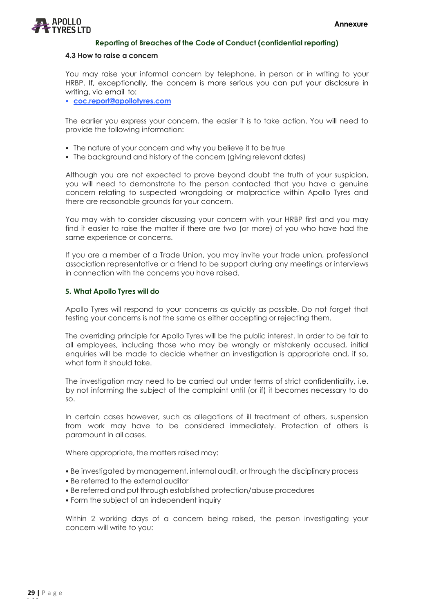

#### **4.3 How to raise a concern**

You may raise your informal concern by telephone, in person or in writing to your HRBP. If, exceptionally, the concern is more serious you can put your disclosure in writing, via email to:

• **[coc.report@apollotyres.com](mailto:coc.report@apollotyres.com)**

The earlier you express your concern, the easier it is to take action. You will need to provide the following information:

- The nature of your concern and why you believe it to be true
- The background and history of the concern (giving relevant dates)

Although you are not expected to prove beyond doubt the truth of your suspicion, you will need to demonstrate to the person contacted that you have a genuine concern relating to suspected wrongdoing or malpractice within Apollo Tyres and there are reasonable grounds for your concern.

You may wish to consider discussing your concern with your HRBP first and you may find it easier to raise the matter if there are two (or more) of you who have had the same experience or concerns.

If you are a member of a Trade Union, you may invite your trade union, professional association representative or a friend to be support during any meetings or interviews in connection with the concerns you have raised.

#### **5. What Apollo Tyres will do**

Apollo Tyres will respond to your concerns as quickly as possible. Do not forget that testing your concerns is not the same as either accepting or rejecting them.

The overriding principle for Apollo Tyres will be the public interest. In order to be fair to all employees, including those who may be wrongly or mistakenly accused, initial enquiries will be made to decide whether an investigation is appropriate and, if so, what form it should take.

The investigation may need to be carried out under terms of strict confidentiality, i.e. by not informing the subject of the complaint until (or if) it becomes necessary to do so.

In certain cases however, such as allegations of ill treatment of others, suspension from work may have to be considered immediately. Protection of others is paramount in all cases.

Where appropriate, the matters raised may:

- Be investigated by management, internal audit, or through the disciplinary process
- Be referred to the external auditor
- Be referred and put through established protection/abuse procedures
- Form the subject of an independent inquiry

Within 2 working days of a concern being raised, the person investigating your concern will write to you: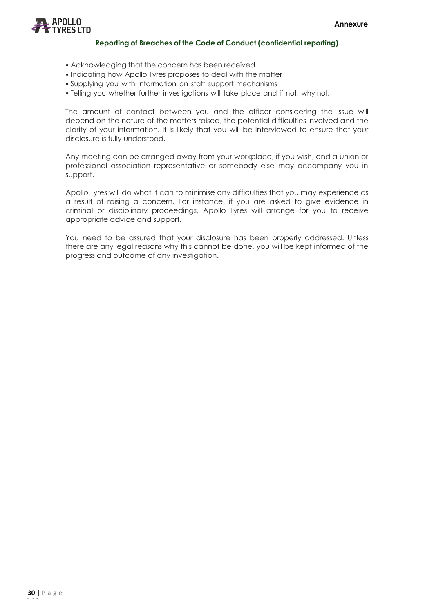

- Acknowledging that the concern has been received
- Indicating how Apollo Tyres proposes to deal with the matter
- Supplying you with information on staff support mechanisms
- Telling you whether further investigations will take place and if not, why not.

The amount of contact between you and the officer considering the issue will depend on the nature of the matters raised, the potential difficulties involved and the clarity of your information. It is likely that you will be interviewed to ensure that your disclosure is fully understood.

Any meeting can be arranged away from your workplace, if you wish, and a union or professional association representative or somebody else may accompany you in support.

Apollo Tyres will do what it can to minimise any difficulties that you may experience as a result of raising a concern. For instance, if you are asked to give evidence in criminal or disciplinary proceedings, Apollo Tyres will arrange for you to receive appropriate advice and support.

You need to be assured that your disclosure has been properly addressed. Unless there are any legal reasons why this cannot be done, you will be kept informed of the progress and outcome of any investigation.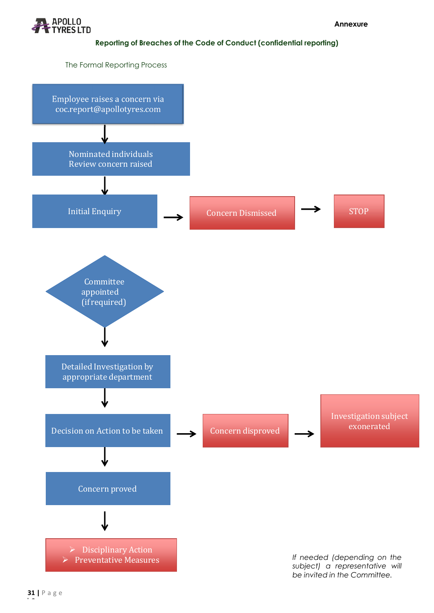

The Formal Reporting Process

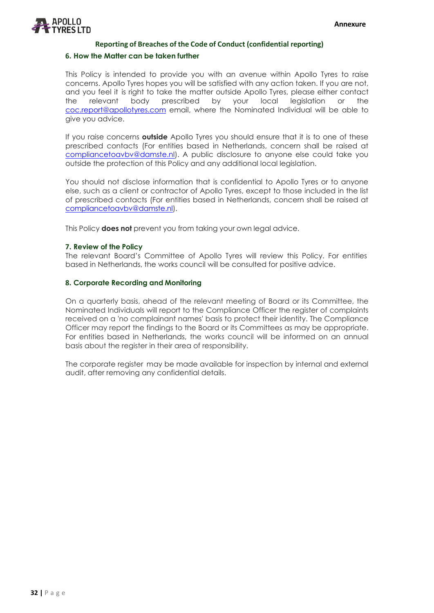

#### **6. How the Matter can be taken further**

This Policy is intended to provide you with an avenue within Apollo Tyres to raise concerns. Apollo Tyres hopes you will be satisfied with any action taken. If you are not, and you feel it is right to take the matter outside Apollo Tyres, please either contact the relevant body prescribed by your local legislation or the [coc.report@apollotyres.com](mailto:coc.report@apollotyres.com) email, where the Nominated Individual will be able to give you advice.

If you raise concerns **outside** Apollo Tyres you should ensure that it is to one of these prescribed contacts (For entities based in Netherlands, concern shall be raised at [compliancetoavbv@damste.nl\)](mailto:compliancetoavbv@damste.nl). A public disclosure to anyone else could take you outside the protection of this Policy and any additional local legislation.

You should not disclose information that is confidential to Apollo Tyres or to anyone else, such as a client or contractor of Apollo Tyres, except to those included in the list of prescribed contacts (For entities based in Netherlands, concern shall be raised at [compliancetoavbv@damste.nl\)](mailto:compliancetoavbv@damste.nl).

This Policy **does not** prevent you from taking your own legal advice.

#### **7. Review of the Policy**

The relevant Board's Committee of Apollo Tyres will review this Policy. For entities based in Netherlands, the works council will be consulted for positive advice.

#### **8. Corporate Recording and Monitoring**

On a quarterly basis, ahead of the relevant meeting of Board or its Committee, the Nominated Individuals will report to the Compliance Officer the register of complaints received on a 'no complainant names' basis to protect their identity. The Compliance Officer may report the findings to the Board or its Committees as may be appropriate. For entities based in Netherlands, the works council will be informed on an annual basis about the register in their area of responsibility.

The corporate register may be made available for inspection by internal and external audit, after removing any confidential details.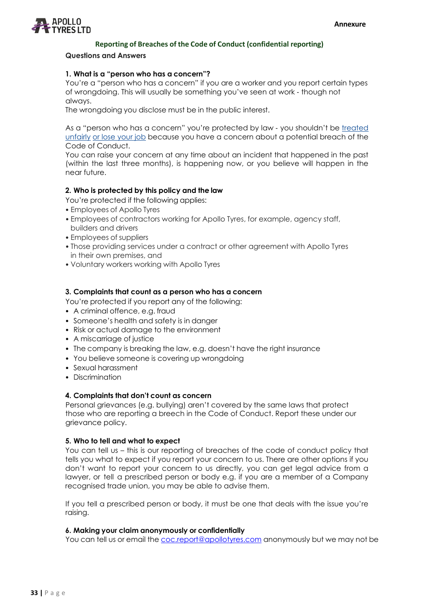

#### **Questions and Answers**

#### **1. What is a "person who has a concern"?**

You're a "person who has a concern" if you are a worker and you report certain types of wrongdoing. This will usually be something you've seen at work ‐ though not always.

The wrongdoing you disclose must be in the public interest.

As a "person who has a concern" you're protected by law ‐ you shouldn't be treated unfairly or lose your job because you have a concern about a potential breach of the Code of Conduct.

You can raise your concern at any time about an incident that happened in the past (within the last three months), is happening now, or you believe will happen in the near future.

#### **2. Who is protected by this policy and the law**

You're protected if the following applies:

- Employees of Apollo Tyres
- Employees of contractors working for Apollo Tyres, for example, agency staff, builders and drivers
- Employees of suppliers
- Those providing services under a contract or other agreement with Apollo Tyres in their own premises, and
- Voluntary workers working with Apollo Tyres

#### **3. Complaints that count as a person who has a concern**

You're protected if you report any of the following:

- A criminal offence, e.g. fraud
- Someone's health and safety is in danger
- Risk or actual damage to the environment
- A miscarriage of justice
- The company is breaking the law, e.g. doesn't have the right insurance
- You believe someone is covering up wrongdoing
- Sexual harassment
- Discrimination

#### **4. Complaints that don't count as concern**

Personal grievances (e.g. bullying) aren't covered by the same laws that protect those who are reporting a breech in the Code of Conduct. Report these under our grievance policy.

#### **5. Who to tell and what to expect**

You can tell us – this is our reporting of breaches of the code of conduct policy that tells you what to expect if you report your concern to us. There are other options if you don't want to report your concern to us directly, you can get legal advice from a lawyer, or tell a prescribed person or body e.g. if you are a member of a Company recognised trade union, you may be able to advise them.

If you tell a prescribed person or body, it must be one that deals with the issue you're raising.

#### **6. Making your claim anonymously or confidentially**

You can tell us or email the [coc.report@apollotyres.com](mailto:coc.report@apollotyres.com) anonymously but we may not be